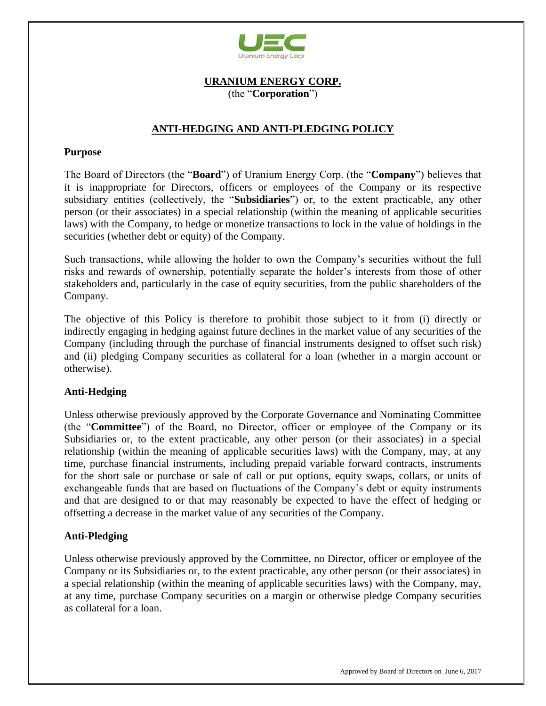

## **URANIUM ENERGY CORP.** (the "**Corporation**")

# **ANTI-HEDGING AND ANTI-PLEDGING POLICY**

#### **Purpose**

The Board of Directors (the "**Board**") of Uranium Energy Corp. (the "**Company**") believes that it is inappropriate for Directors, officers or employees of the Company or its respective subsidiary entities (collectively, the "**Subsidiaries**") or, to the extent practicable, any other person (or their associates) in a special relationship (within the meaning of applicable securities laws) with the Company, to hedge or monetize transactions to lock in the value of holdings in the securities (whether debt or equity) of the Company.

Such transactions, while allowing the holder to own the Company's securities without the full risks and rewards of ownership, potentially separate the holder's interests from those of other stakeholders and, particularly in the case of equity securities, from the public shareholders of the Company.

The objective of this Policy is therefore to prohibit those subject to it from (i) directly or indirectly engaging in hedging against future declines in the market value of any securities of the Company (including through the purchase of financial instruments designed to offset such risk) and (ii) pledging Company securities as collateral for a loan (whether in a margin account or otherwise).

### **Anti-Hedging**

Unless otherwise previously approved by the Corporate Governance and Nominating Committee (the "**Committee**") of the Board, no Director, officer or employee of the Company or its Subsidiaries or, to the extent practicable, any other person (or their associates) in a special relationship (within the meaning of applicable securities laws) with the Company, may, at any time, purchase financial instruments, including prepaid variable forward contracts, instruments for the short sale or purchase or sale of call or put options, equity swaps, collars, or units of exchangeable funds that are based on fluctuations of the Company's debt or equity instruments and that are designed to or that may reasonably be expected to have the effect of hedging or offsetting a decrease in the market value of any securities of the Company.

### **Anti-Pledging**

Unless otherwise previously approved by the Committee, no Director, officer or employee of the Company or its Subsidiaries or, to the extent practicable, any other person (or their associates) in a special relationship (within the meaning of applicable securities laws) with the Company, may, at any time, purchase Company securities on a margin or otherwise pledge Company securities as collateral for a loan.